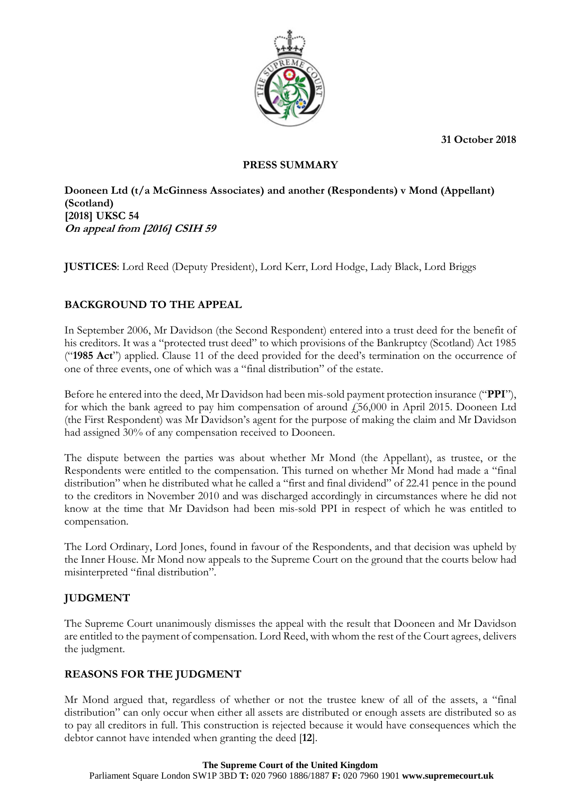**31 October 2018**



### **PRESS SUMMARY**

**Dooneen Ltd (t/a McGinness Associates) and another (Respondents) v Mond (Appellant) (Scotland) [2018] UKSC 54 On appeal from [2016] CSIH 59**

**JUSTICES**: Lord Reed (Deputy President), Lord Kerr, Lord Hodge, Lady Black, Lord Briggs

## **BACKGROUND TO THE APPEAL**

In September 2006, Mr Davidson (the Second Respondent) entered into a trust deed for the benefit of his creditors. It was a "protected trust deed" to which provisions of the Bankruptcy (Scotland) Act 1985 ("**1985 Act**") applied. Clause 11 of the deed provided for the deed's termination on the occurrence of one of three events, one of which was a "final distribution" of the estate.

Before he entered into the deed, Mr Davidson had been mis-sold payment protection insurance ("**PPI**"), for which the bank agreed to pay him compensation of around  $\ddot{F}$  (56,000 in April 2015. Dooneen Ltd (the First Respondent) was Mr Davidson's agent for the purpose of making the claim and Mr Davidson had assigned 30% of any compensation received to Dooneen.

The dispute between the parties was about whether Mr Mond (the Appellant), as trustee, or the Respondents were entitled to the compensation. This turned on whether Mr Mond had made a "final distribution" when he distributed what he called a "first and final dividend" of 22.41 pence in the pound to the creditors in November 2010 and was discharged accordingly in circumstances where he did not know at the time that Mr Davidson had been mis-sold PPI in respect of which he was entitled to compensation.

The Lord Ordinary, Lord Jones, found in favour of the Respondents, and that decision was upheld by the Inner House. Mr Mond now appeals to the Supreme Court on the ground that the courts below had misinterpreted "final distribution".

# **JUDGMENT**

The Supreme Court unanimously dismisses the appeal with the result that Dooneen and Mr Davidson are entitled to the payment of compensation. Lord Reed, with whom the rest of the Court agrees, delivers the judgment.

### **REASONS FOR THE JUDGMENT**

Mr Mond argued that, regardless of whether or not the trustee knew of all of the assets, a "final distribution" can only occur when either all assets are distributed or enough assets are distributed so as to pay all creditors in full. This construction is rejected because it would have consequences which the debtor cannot have intended when granting the deed [**12**].

#### **The Supreme Court of the United Kingdom**

Parliament Square London SW1P 3BD **T:** 020 7960 1886/1887 **F:** 020 7960 1901 **www.supremecourt.uk**